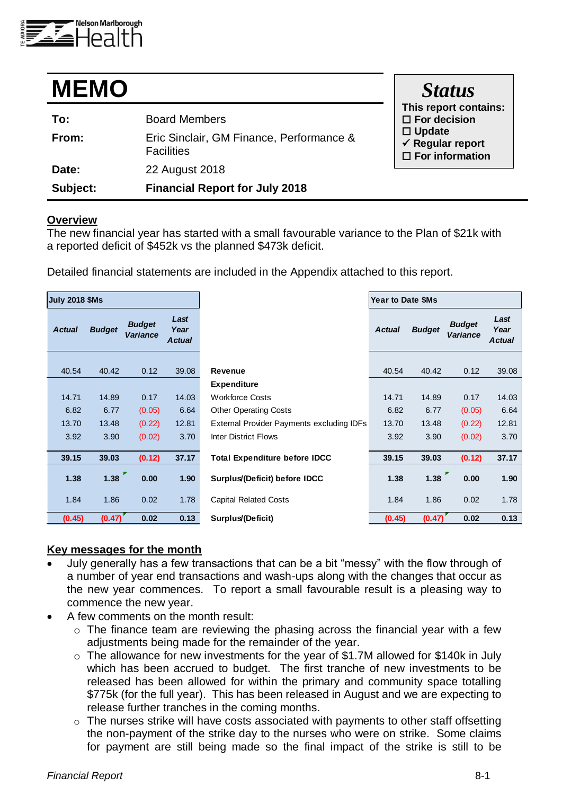

| <b>MEMO</b> |                                                               | <b>Status</b>                                                          |
|-------------|---------------------------------------------------------------|------------------------------------------------------------------------|
| To:         | <b>Board Members</b>                                          | This report contains:<br>$\Box$ For decision                           |
| From:       | Eric Sinclair, GM Finance, Performance &<br><b>Facilities</b> | $\Box$ Update<br>$\checkmark$ Regular report<br>$\Box$ For information |
| Date:       | 22 August 2018                                                |                                                                        |
| Subject:    | <b>Financial Report for July 2018</b>                         |                                                                        |

#### **Overview**

The new financial year has started with a small favourable variance to the Plan of \$21k with a reported deficit of \$452k vs the planned \$473k deficit.

Detailed financial statements are included in the Appendix attached to this report.

| <b>July 2018 \$Ms</b> |               |                                  |                               |                                           | Year to Date \$Ms |               |                                  |                               |  |  |
|-----------------------|---------------|----------------------------------|-------------------------------|-------------------------------------------|-------------------|---------------|----------------------------------|-------------------------------|--|--|
| <b>Actual</b>         | <b>Budget</b> | <b>Budget</b><br><b>Variance</b> | Last<br>Year<br><b>Actual</b> |                                           | <b>Actual</b>     | <b>Budget</b> | <b>Budget</b><br><b>Variance</b> | Last<br>Year<br><b>Actual</b> |  |  |
| 40.54                 | 40.42         | 0.12                             | 39.08                         | <b>Revenue</b>                            | 40.54             | 40.42         | 0.12                             | 39.08                         |  |  |
|                       |               |                                  |                               | <b>Expenditure</b>                        |                   |               |                                  |                               |  |  |
| 14.71                 | 14.89         | 0.17                             | 14.03                         | <b>Workforce Costs</b>                    | 14.71             | 14.89         | 0.17                             | 14.03                         |  |  |
| 6.82                  | 6.77          | (0.05)                           | 6.64                          | <b>Other Operating Costs</b>              | 6.82              | 6.77          | (0.05)                           | 6.64                          |  |  |
| 13.70                 | 13.48         | (0.22)                           | 12.81                         | External Provider Payments excluding IDFs | 13.70             | 13.48         | (0.22)                           | 12.81                         |  |  |
| 3.92                  | 3.90          | (0.02)                           | 3.70                          | <b>Inter District Flows</b>               | 3.92              | 3.90          | (0.02)                           | 3.70                          |  |  |
| 39.15                 | 39.03         | (0.12)                           | 37.17                         | <b>Total Expenditure before IDCC</b>      | 39.15             | 39.03         | (0.12)                           | 37.17                         |  |  |
| 1.38                  | 1.38          | 0.00                             | 1.90                          | Surplus/(Deficit) before IDCC             | 1.38              | 1.38          | 0.00                             | 1.90                          |  |  |
| 1.84                  | 1.86          | 0.02                             | 1.78                          | <b>Capital Related Costs</b>              | 1.84              | 1.86          | 0.02                             | 1.78                          |  |  |
| (0.45)                | (0.47)        | 0.02                             | 0.13                          | Surplus/(Deficit)                         | (0.45)            | (0.47)        | 0.02                             | 0.13                          |  |  |

## **Key messages for the month**

- July generally has a few transactions that can be a bit "messy" with the flow through of a number of year end transactions and wash-ups along with the changes that occur as the new year commences. To report a small favourable result is a pleasing way to commence the new year.
- A few comments on the month result:
	- o The finance team are reviewing the phasing across the financial year with a few adjustments being made for the remainder of the year.
	- o The allowance for new investments for the year of \$1.7M allowed for \$140k in July which has been accrued to budget. The first tranche of new investments to be released has been allowed for within the primary and community space totalling \$775k (for the full year). This has been released in August and we are expecting to release further tranches in the coming months.
	- o The nurses strike will have costs associated with payments to other staff offsetting the non-payment of the strike day to the nurses who were on strike. Some claims for payment are still being made so the final impact of the strike is still to be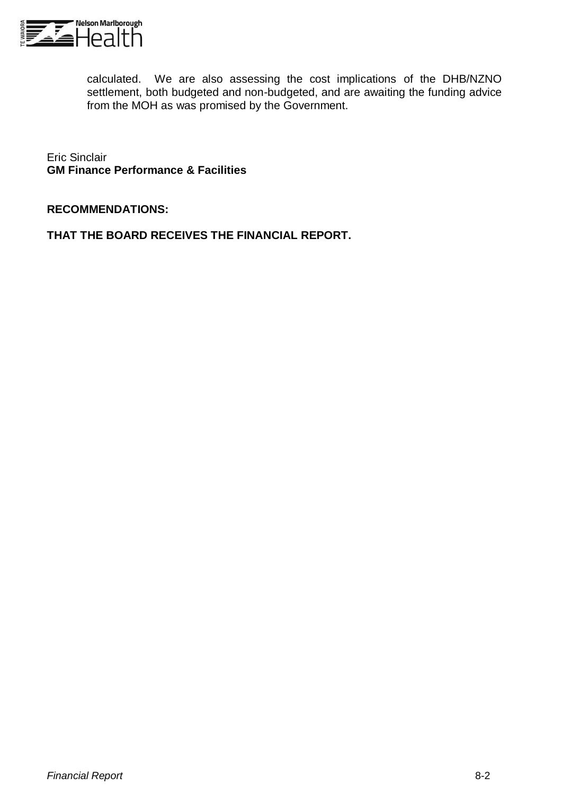

calculated. We are also assessing the cost implications of the DHB/NZNO settlement, both budgeted and non-budgeted, and are awaiting the funding advice from the MOH as was promised by the Government.

Eric Sinclair **GM Finance Performance & Facilities**

## **RECOMMENDATIONS:**

**THAT THE BOARD RECEIVES THE FINANCIAL REPORT.**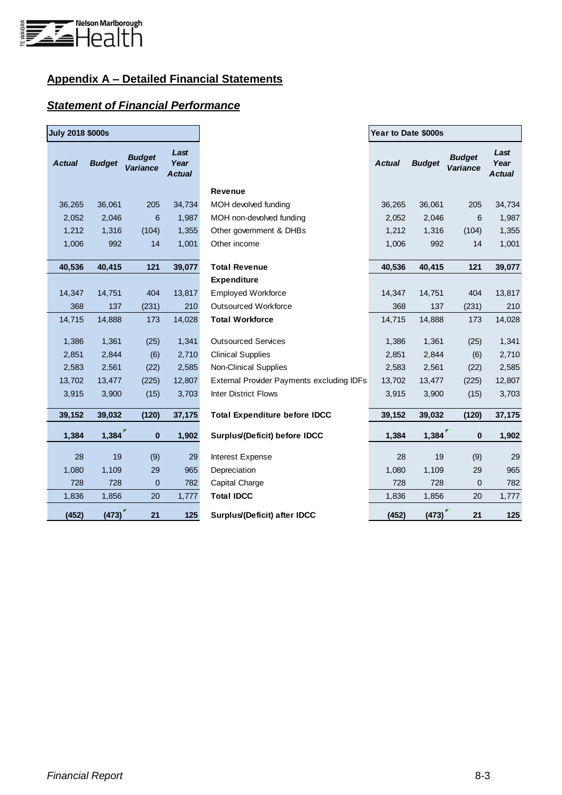

# **Appendix A – Detailed Financial Statements**

## *Statement of Financial Performance*

| <b>July 2018 \$000s</b> |               |                                  |                               |                                                  | Year to Date \$000s |               |                                  |                               |
|-------------------------|---------------|----------------------------------|-------------------------------|--------------------------------------------------|---------------------|---------------|----------------------------------|-------------------------------|
| <b>Actual</b>           | <b>Budget</b> | <b>Budget</b><br><b>Variance</b> | Last<br>Year<br><b>Actual</b> |                                                  | <b>Actual</b>       | <b>Budget</b> | <b>Budget</b><br><b>Variance</b> | Last<br>Year<br><b>Actual</b> |
|                         |               |                                  |                               | <b>Revenue</b>                                   |                     |               |                                  |                               |
| 36,265                  | 36,061        | 205                              | 34,734                        | MOH devolved funding                             | 36,265              | 36,061        | 205                              | 34,734                        |
| 2,052                   | 2,046         | 6                                | 1,987                         | MOH non-devolved funding                         | 2,052               | 2,046         | 6                                | 1,987                         |
| 1,212                   | 1,316         | (104)                            | 1,355                         | Other government & DHBs                          | 1,212               | 1,316         | (104)                            | 1,355                         |
| 1,006                   | 992           | 14                               | 1,001                         | Other income                                     | 1,006               | 992           | 14                               | 1,001                         |
| 40,536                  | 40,415        | 121                              | 39,077                        | <b>Total Revenue</b>                             | 40,536              | 40,415        | 121                              | 39,077                        |
|                         |               |                                  |                               | Expenditure                                      |                     |               |                                  |                               |
| 14,347                  | 14,751        | 404                              | 13,817                        | <b>Employed Workforce</b>                        | 14,347              | 14,751        | 404                              | 13,817                        |
| 368                     | 137           | (231)                            | 210                           | <b>Outsourced Workforce</b>                      | 368                 | 137           | (231)                            | 210                           |
| 14,715                  | 14,888        | 173                              | 14,028                        | <b>Total Workforce</b>                           | 14,715              | 14,888        | 173                              | 14,028                        |
| 1,386                   | 1,361         | (25)                             | 1,341                         | <b>Outsourced Services</b>                       | 1,386               | 1,361         | (25)                             | 1,341                         |
| 2,851                   | 2,844         | (6)                              | 2,710                         | <b>Clinical Supplies</b>                         | 2,851               | 2,844         | (6)                              | 2,710                         |
| 2,583                   | 2,561         | (22)                             | 2,585                         | Non-Clinical Supplies                            | 2,583               | 2,561         | (22)                             | 2,585                         |
| 13,702                  | 13,477        | (225)                            | 12,807                        | <b>External Provider Payments excluding IDFs</b> | 13,702              | 13,477        | (225)                            | 12,807                        |
| 3,915                   | 3,900         | (15)                             | 3,703                         | <b>Inter District Flows</b>                      | 3,915               | 3,900         | (15)                             | 3,703                         |
| 39,152                  | 39,032        | (120)                            | 37,175                        | <b>Total Expenditure before IDCC</b>             | 39,152              | 39,032        | (120)                            | 37,175                        |
| 1,384                   | 1,384         | $\mathbf{0}$                     | 1,902                         | Surplus/(Deficit) before IDCC                    | 1,384               | 1,384         | $\bf{0}$                         | 1,902                         |
| 28                      | 19            | (9)                              | 29                            | <b>Interest Expense</b>                          | 28                  | 19            | (9)                              | 29                            |
| 1,080                   | 1,109         | 29                               | 965                           | Depreciation                                     | 1,080               | 1,109         | 29                               | 965                           |
| 728                     | 728           | $\mathbf 0$                      | 782                           | Capital Charge                                   | 728                 | 728           | $\mathbf 0$                      | 782                           |
| 1,836                   | 1,856         | 20                               | 1,777                         | <b>Total IDCC</b>                                | 1,836               | 1,856         | 20                               | 1,777                         |
| (452)                   | (473)         | 21                               | 125                           | Surplus/(Deficit) after IDCC                     | (452)               | (473)         | 21                               | 125                           |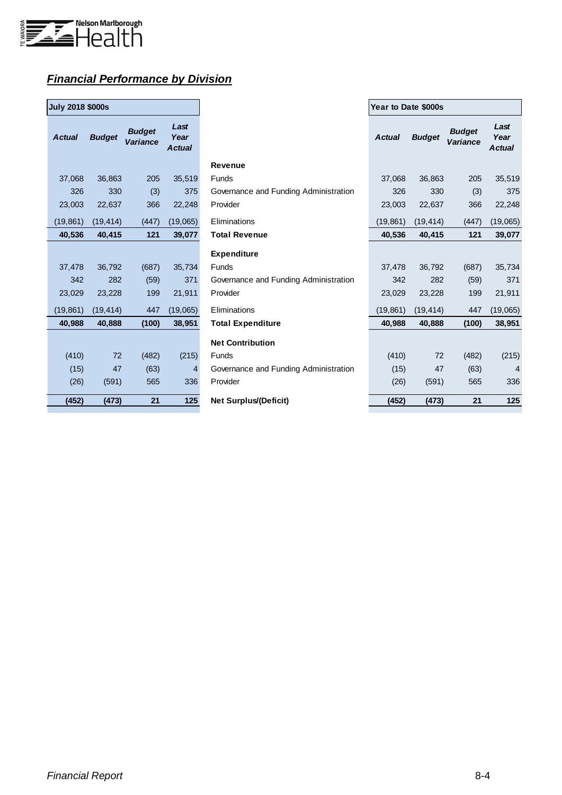

# *Financial Performance by Division*

| <b>July 2018 \$000s</b> |               |                           |                               |
|-------------------------|---------------|---------------------------|-------------------------------|
| <b>Actual</b>           | <b>Budget</b> | <b>Budget</b><br>Variance | Last<br>Year<br><b>Actual</b> |
| 37,068                  | 36,863        | 205                       | 35,519                        |
| 326                     | 330           | (3)                       | 375                           |
| 23,003                  | 22,637        | 366                       | 22,248                        |
| (19, 861)               | (19, 414)     | (447)                     | (19,065)                      |
| 40,536                  | 40,415        | 121                       | 39,077                        |
|                         |               |                           |                               |
| 37,478                  | 36,792        | (687)                     | 35,734                        |
| 342                     | 282           | (59)                      | 371                           |
| 23,029                  | 23,228        | 199                       | 21,911                        |
| (19, 861)               | (19, 414)     | 447                       | (19,065)                      |
| 40,988                  | 40,888        | (100)                     | 38,951                        |
|                         |               |                           |                               |
| (410)                   | 72            | (482)                     | (215)                         |
| (15)                    | 47            | (63)                      | 4                             |
| (26)                    | (591)         | 565                       | 336                           |
| (452)                   | (473)         | 21                        | 125                           |

| <b>July 2018 \$000s</b> |               |                                  |                               |                                       | Year to Date \$000s |               |                           |                               |
|-------------------------|---------------|----------------------------------|-------------------------------|---------------------------------------|---------------------|---------------|---------------------------|-------------------------------|
| <b>Actual</b>           | <b>Budget</b> | <b>Budget</b><br><b>Variance</b> | Last<br>Year<br><b>Actual</b> |                                       | <b>Actual</b>       | <b>Budget</b> | <b>Budget</b><br>Variance | Last<br>Year<br><b>Actual</b> |
|                         |               |                                  |                               | <b>Revenue</b>                        |                     |               |                           |                               |
| 37,068                  | 36,863        | 205                              | 35,519                        | Funds                                 | 37,068              | 36,863        | 205                       | 35,519                        |
| 326                     | 330           | (3)                              | 375                           | Governance and Funding Administration | 326                 | 330           | (3)                       | 375                           |
| 23,003                  | 22,637        | 366                              | 22,248                        | Provider                              | 23,003              | 22,637        | 366                       | 22,248                        |
| (19, 861)               | (19, 414)     | (447)                            | (19,065)                      | Eliminations                          | (19, 861)           | (19, 414)     | (447)                     | (19,065)                      |
| 40,536                  | 40,415        | 121                              | 39,077                        | <b>Total Revenue</b>                  | 40.536              | 40,415        | 121                       | 39,077                        |
|                         |               |                                  |                               | <b>Expenditure</b>                    |                     |               |                           |                               |
| 37,478                  | 36,792        | (687)                            | 35,734                        | <b>Funds</b>                          | 37,478              | 36,792        | (687)                     | 35,734                        |
| 342                     | 282           | (59)                             | 371                           | Governance and Funding Administration | 342                 | 282           | (59)                      | 371                           |
| 23,029                  | 23,228        | 199                              | 21,911                        | Provider                              | 23,029              | 23,228        | 199                       | 21,911                        |
| (19, 861)               | (19, 414)     | 447                              | (19,065)                      | Eliminations                          | (19, 861)           | (19, 414)     | 447                       | (19,065)                      |
| 40,988                  | 40,888        | (100)                            | 38,951                        | <b>Total Expenditure</b>              | 40,988              | 40,888        | (100)                     | 38,951                        |
|                         |               |                                  |                               | <b>Net Contribution</b>               |                     |               |                           |                               |
| (410)                   | 72            | (482)                            | (215)                         | Funds                                 | (410)               | 72            | (482)                     | (215)                         |
| (15)                    | 47            | (63)                             | 4                             | Governance and Funding Administration | (15)                | 47            | (63)                      | 4                             |
| (26)                    | (591)         | 565                              | 336                           | Provider                              | (26)                | (591)         | 565                       | 336                           |
| (452)                   | (473)         | 21                               | 125                           | <b>Net Surplus/(Deficit)</b>          | (452)               | (473)         | 21                        | 125                           |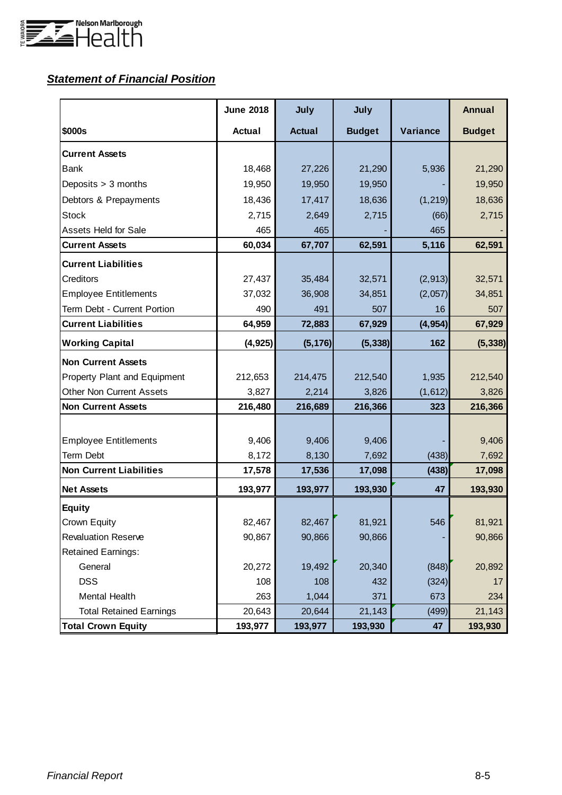

# *Statement of Financial Position*

|                                 | <b>June 2018</b> | July          | July          |          | <b>Annual</b> |
|---------------------------------|------------------|---------------|---------------|----------|---------------|
| \$000s                          | <b>Actual</b>    | <b>Actual</b> | <b>Budget</b> | Variance | <b>Budget</b> |
| <b>Current Assets</b>           |                  |               |               |          |               |
| <b>Bank</b>                     | 18,468           | 27,226        | 21,290        | 5,936    | 21,290        |
| Deposits > 3 months             | 19,950           | 19,950        | 19,950        |          | 19,950        |
| Debtors & Prepayments           | 18,436           | 17,417        | 18,636        | (1, 219) | 18,636        |
| <b>Stock</b>                    | 2,715            | 2,649         | 2,715         | (66)     | 2,715         |
| <b>Assets Held for Sale</b>     | 465              | 465           |               | 465      |               |
| <b>Current Assets</b>           | 60,034           | 67,707        | 62,591        | 5,116    | 62,591        |
| <b>Current Liabilities</b>      |                  |               |               |          |               |
| Creditors                       | 27,437           | 35,484        | 32,571        | (2, 913) | 32,571        |
| <b>Employee Entitlements</b>    | 37,032           | 36,908        | 34,851        | (2,057)  | 34,851        |
| Term Debt - Current Portion     | 490              | 491           | 507           | 16       | 507           |
| <b>Current Liabilities</b>      | 64,959           | 72,883        | 67,929        | (4, 954) | 67,929        |
| <b>Working Capital</b>          | (4, 925)         | (5, 176)      | (5, 338)      | 162      | (5, 338)      |
| <b>Non Current Assets</b>       |                  |               |               |          |               |
| Property Plant and Equipment    | 212,653          | 214,475       | 212,540       | 1,935    | 212,540       |
| <b>Other Non Current Assets</b> | 3,827            | 2,214         | 3,826         | (1,612)  | 3,826         |
| <b>Non Current Assets</b>       | 216,480          | 216,689       | 216,366       | 323      | 216,366       |
|                                 |                  |               |               |          |               |
| <b>Employee Entitlements</b>    | 9,406            | 9,406         | 9,406         |          | 9,406         |
| <b>Term Debt</b>                | 8,172            | 8,130         | 7,692         | (438)    | 7,692         |
| <b>Non Current Liabilities</b>  | 17,578           | 17,536        | 17,098        | (438)    | 17,098        |
| <b>Net Assets</b>               | 193,977          | 193,977       | 193,930       | 47       | 193,930       |
| <b>Equity</b>                   |                  |               |               |          |               |
| Crown Equity                    | 82,467           | 82,467        | 81,921        | 546      | 81,921        |
| <b>Revaluation Reserve</b>      | 90,867           | 90,866        | 90,866        |          | 90,866        |
| <b>Retained Earnings:</b>       |                  |               |               |          |               |
| General                         | 20,272           | 19,492        | 20,340        | (848)    | 20,892        |
| <b>DSS</b>                      | 108              | 108           | 432           | (324)    | 17            |
| Mental Health                   | 263              | 1,044         | 371           | 673      | 234           |
| <b>Total Retained Earnings</b>  | 20,643           | 20,644        | 21,143        | (499)    | 21,143        |
| <b>Total Crown Equity</b>       | 193,977          | 193,977       | 193,930       | 47       | 193,930       |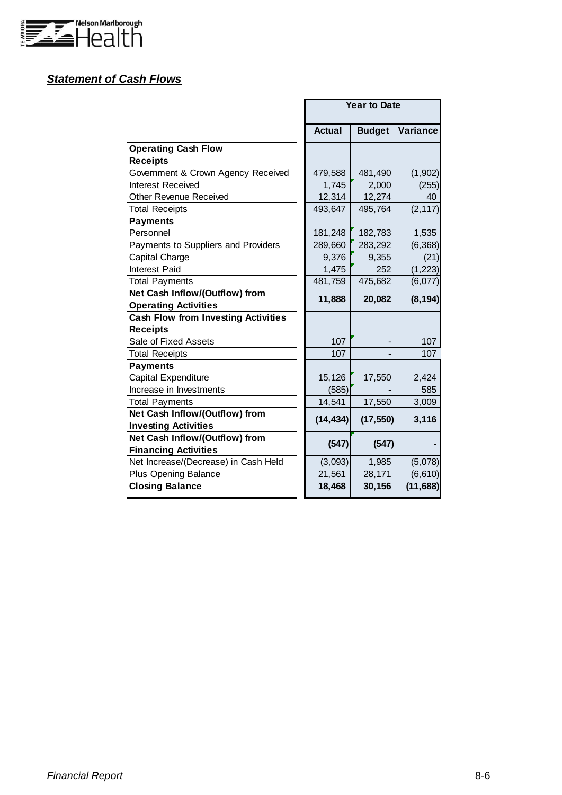

## *Statement of Cash Flows*

|                                            |               | <b>Year to Date</b> |                 |
|--------------------------------------------|---------------|---------------------|-----------------|
|                                            | <b>Actual</b> | <b>Budget</b>       | <b>Variance</b> |
| <b>Operating Cash Flow</b>                 |               |                     |                 |
| <b>Receipts</b>                            |               |                     |                 |
| Government & Crown Agency Received         | 479,588       | 481,490             | (1,902)         |
| Interest Received                          | 1,745         | 2,000               | (255)           |
| Other Revenue Received                     | 12,314        | 12,274              | 40              |
| <b>Total Receipts</b>                      | 493,647       | 495,764             | (2, 117)        |
| <b>Payments</b>                            |               |                     |                 |
| Personnel                                  | 181,248       | 182,783             | 1,535           |
| Payments to Suppliers and Providers        | 289,660       | 283,292             | (6, 368)        |
| Capital Charge                             | 9,376         | 9,355               | (21)            |
| <b>Interest Paid</b>                       | 1,475         | 252                 | (1, 223)        |
| <b>Total Payments</b>                      | 481,759       | 475,682             | (6,077)         |
| Net Cash Inflow/(Outflow) from             | 11,888        | 20,082              | (8, 194)        |
| <b>Operating Activities</b>                |               |                     |                 |
| <b>Cash Flow from Investing Activities</b> |               |                     |                 |
| <b>Receipts</b>                            |               |                     |                 |
| Sale of Fixed Assets                       | 107           |                     | 107             |
| <b>Total Receipts</b>                      | 107           |                     | 107             |
| <b>Payments</b>                            |               |                     |                 |
| Capital Expenditure                        | 15,126        | 17,550              | 2,424           |
| Increase in Investments                    | (585)         |                     | 585             |
| <b>Total Payments</b>                      | 14,541        | 17,550              | 3,009           |
| Net Cash Inflow/(Outflow) from             | (14, 434)     | (17, 550)           | 3,116           |
| <b>Investing Activities</b>                |               |                     |                 |
| Net Cash Inflow/(Outflow) from             | (547)         | (547)               |                 |
| <b>Financing Activities</b>                |               |                     |                 |
| Net Increase/(Decrease) in Cash Held       | (3,093)       | 1,985               | (5,078)         |
| <b>Plus Opening Balance</b>                | 21,561        | 28,171              | (6, 610)        |
| <b>Closing Balance</b>                     | 18,468        | 30,156              | (11, 688)       |